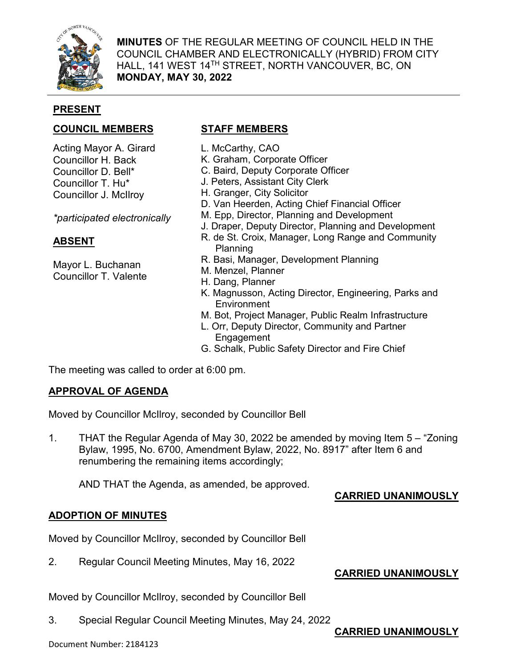

**MINUTES** OF THE REGULAR MEETING OF COUNCIL HELD IN THE COUNCIL CHAMBER AND ELECTRONICALLY (HYBRID) FROM CITY HALL, 141 WEST 14TH STREET, NORTH VANCOUVER, BC, ON **MONDAY, MAY 30, 2022**

## **PRESENT**

# **COUNCIL MEMBERS STAFF MEMBERS**

Acting Mayor A. Girard Councillor H. Back Councillor D. Bell\* Councillor T. Hu\* Councillor J. McIlroy

*\*participated electronically*

# **ABSENT**

Mayor L. Buchanan Councillor T. Valente

- L. McCarthy, CAO
- K. Graham, Corporate Officer
- C. Baird, Deputy Corporate Officer
- J. Peters, Assistant City Clerk
- H. Granger, City Solicitor
- D. Van Heerden, Acting Chief Financial Officer
- M. Epp, Director, Planning and Development
- J. Draper, Deputy Director, Planning and Development
- R. de St. Croix, Manager, Long Range and Community Planning
- R. Basi, Manager, Development Planning
- M. Menzel, Planner
- H. Dang, Planner
- K. Magnusson, Acting Director, Engineering, Parks and **Environment**
- M. Bot, Project Manager, Public Realm Infrastructure
- L. Orr, Deputy Director, Community and Partner Engagement
- G. Schalk, Public Safety Director and Fire Chief

The meeting was called to order at 6:00 pm.

### **APPROVAL OF AGENDA**

Moved by Councillor McIlroy, seconded by Councillor Bell

1. THAT the Regular Agenda of May 30, 2022 be amended by moving Item 5 – "Zoning Bylaw, 1995, No. 6700, Amendment Bylaw, 2022, No. 8917" after Item 6 and renumbering the remaining items accordingly;

AND THAT the Agenda, as amended, be approved.

### **CARRIED UNANIMOUSLY**

### **ADOPTION OF MINUTES**

Moved by Councillor McIlroy, seconded by Councillor Bell

2. Regular Council Meeting Minutes, May 16, 2022

# **CARRIED UNANIMOUSLY**

Moved by Councillor McIlroy, seconded by Councillor Bell

3. Special Regular Council Meeting Minutes, May 24, 2022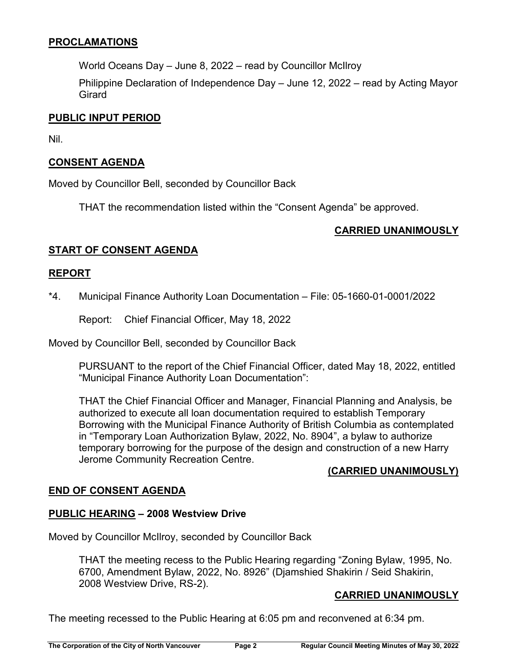## **PROCLAMATIONS**

World Oceans Day – June 8, 2022 – read by Councillor McIlroy

Philippine Declaration of Independence Day – June 12, 2022 – read by Acting Mayor Girard

#### **PUBLIC INPUT PERIOD**

Nil.

## **CONSENT AGENDA**

Moved by Councillor Bell, seconded by Councillor Back

THAT the recommendation listed within the "Consent Agenda" be approved.

### **CARRIED UNANIMOUSLY**

## **START OF CONSENT AGENDA**

#### **REPORT**

\*4. Municipal Finance Authority Loan Documentation – File: 05-1660-01-0001/2022

Report: Chief Financial Officer, May 18, 2022

Moved by Councillor Bell, seconded by Councillor Back

PURSUANT to the report of the Chief Financial Officer, dated May 18, 2022, entitled "Municipal Finance Authority Loan Documentation":

THAT the Chief Financial Officer and Manager, Financial Planning and Analysis, be authorized to execute all loan documentation required to establish Temporary Borrowing with the Municipal Finance Authority of British Columbia as contemplated in "Temporary Loan Authorization Bylaw, 2022, No. 8904", a bylaw to authorize temporary borrowing for the purpose of the design and construction of a new Harry Jerome Community Recreation Centre.

### **(CARRIED UNANIMOUSLY)**

### **END OF CONSENT AGENDA**

### **PUBLIC HEARING – 2008 Westview Drive**

Moved by Councillor McIlroy, seconded by Councillor Back

THAT the meeting recess to the Public Hearing regarding "Zoning Bylaw, 1995, No. 6700, Amendment Bylaw, 2022, No. 8926" (Djamshied Shakirin / Seid Shakirin, 2008 Westview Drive, RS-2).

### **CARRIED UNANIMOUSLY**

The meeting recessed to the Public Hearing at 6:05 pm and reconvened at 6:34 pm.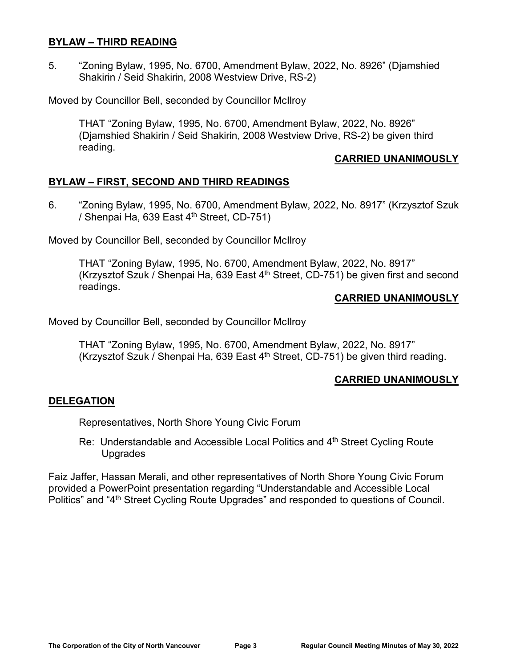### **BYLAW – THIRD READING**

5. "Zoning Bylaw, 1995, No. 6700, Amendment Bylaw, 2022, No. 8926" (Djamshied Shakirin / Seid Shakirin, 2008 Westview Drive, RS-2)

Moved by Councillor Bell, seconded by Councillor McIlroy

THAT "Zoning Bylaw, 1995, No. 6700, Amendment Bylaw, 2022, No. 8926" (Djamshied Shakirin / Seid Shakirin, 2008 Westview Drive, RS-2) be given third reading.

### **CARRIED UNANIMOUSLY**

## **BYLAW – FIRST, SECOND AND THIRD READINGS**

6. "Zoning Bylaw, 1995, No. 6700, Amendment Bylaw, 2022, No. 8917" (Krzysztof Szuk / Shenpai Ha, 639 East  $4<sup>th</sup>$  Street, CD-751)

Moved by Councillor Bell, seconded by Councillor McIlroy

THAT "Zoning Bylaw, 1995, No. 6700, Amendment Bylaw, 2022, No. 8917" (Krzysztof Szuk / Shenpai Ha, 639 East  $4<sup>th</sup>$  Street, CD-751) be given first and second readings.

#### **CARRIED UNANIMOUSLY**

Moved by Councillor Bell, seconded by Councillor McIlroy

THAT "Zoning Bylaw, 1995, No. 6700, Amendment Bylaw, 2022, No. 8917" (Krzysztof Szuk / Shenpai Ha, 639 East  $4<sup>th</sup>$  Street, CD-751) be given third reading.

### **CARRIED UNANIMOUSLY**

### **DELEGATION**

Representatives, North Shore Young Civic Forum

Re: Understandable and Accessible Local Politics and 4<sup>th</sup> Street Cycling Route Upgrades

Faiz Jaffer, Hassan Merali, and other representatives of North Shore Young Civic Forum provided a PowerPoint presentation regarding "Understandable and Accessible Local Politics" and "4<sup>th</sup> Street Cycling Route Upgrades" and responded to questions of Council.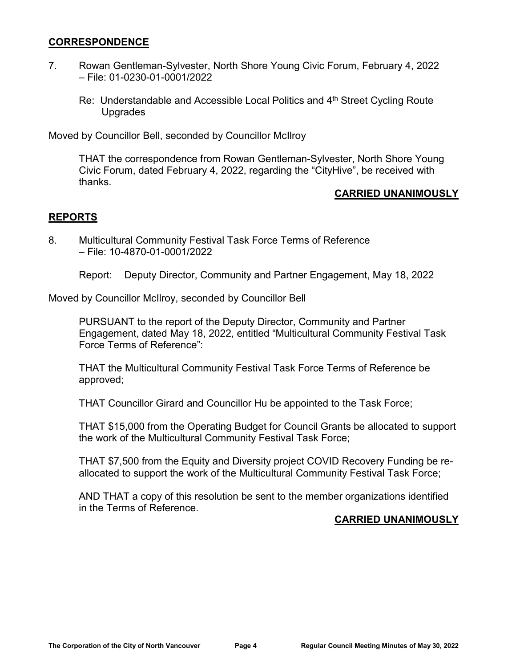#### **CORRESPONDENCE**

- 7. Rowan Gentleman-Sylvester, North Shore Young Civic Forum, February 4, 2022 – File: 01-0230-01-0001/2022
	- Re: Understandable and Accessible Local Politics and 4<sup>th</sup> Street Cycling Route Upgrades

Moved by Councillor Bell, seconded by Councillor McIlroy

THAT the correspondence from Rowan Gentleman-Sylvester, North Shore Young Civic Forum, dated February 4, 2022, regarding the "CityHive", be received with thanks.

### **CARRIED UNANIMOUSLY**

### **REPORTS**

8. Multicultural Community Festival Task Force Terms of Reference – File: 10-4870-01-0001/2022

Report: Deputy Director, Community and Partner Engagement, May 18, 2022

Moved by Councillor McIlroy, seconded by Councillor Bell

PURSUANT to the report of the Deputy Director, Community and Partner Engagement, dated May 18, 2022, entitled "Multicultural Community Festival Task Force Terms of Reference":

THAT the Multicultural Community Festival Task Force Terms of Reference be approved;

THAT Councillor Girard and Councillor Hu be appointed to the Task Force;

THAT \$15,000 from the Operating Budget for Council Grants be allocated to support the work of the Multicultural Community Festival Task Force;

THAT \$7,500 from the Equity and Diversity project COVID Recovery Funding be reallocated to support the work of the Multicultural Community Festival Task Force;

AND THAT a copy of this resolution be sent to the member organizations identified in the Terms of Reference.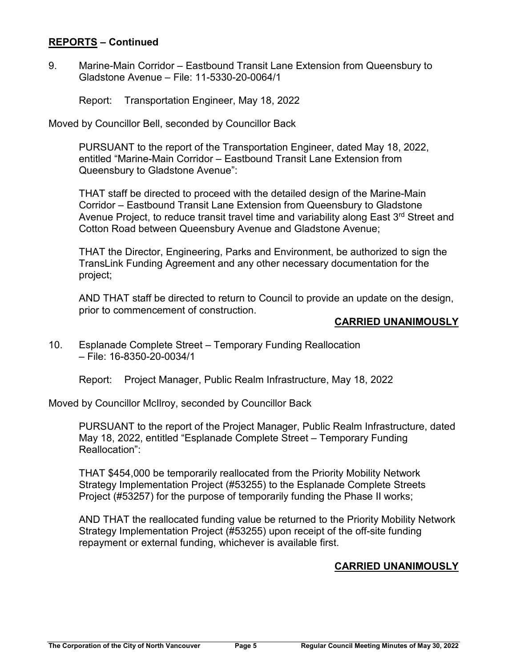#### **REPORTS – Continued**

9. Marine-Main Corridor – Eastbound Transit Lane Extension from Queensbury to Gladstone Avenue – File: 11-5330-20-0064/1

Report: Transportation Engineer, May 18, 2022

Moved by Councillor Bell, seconded by Councillor Back

PURSUANT to the report of the Transportation Engineer, dated May 18, 2022, entitled "Marine-Main Corridor – Eastbound Transit Lane Extension from Queensbury to Gladstone Avenue":

THAT staff be directed to proceed with the detailed design of the Marine-Main Corridor – Eastbound Transit Lane Extension from Queensbury to Gladstone Avenue Project, to reduce transit travel time and variability along East 3<sup>rd</sup> Street and Cotton Road between Queensbury Avenue and Gladstone Avenue;

THAT the Director, Engineering, Parks and Environment, be authorized to sign the TransLink Funding Agreement and any other necessary documentation for the project;

AND THAT staff be directed to return to Council to provide an update on the design, prior to commencement of construction.

### **CARRIED UNANIMOUSLY**

10. Esplanade Complete Street – Temporary Funding Reallocation – File: 16-8350-20-0034/1

Report: Project Manager, Public Realm Infrastructure, May 18, 2022

Moved by Councillor McIlroy, seconded by Councillor Back

PURSUANT to the report of the Project Manager, Public Realm Infrastructure, dated May 18, 2022, entitled "Esplanade Complete Street – Temporary Funding Reallocation":

THAT \$454,000 be temporarily reallocated from the Priority Mobility Network Strategy Implementation Project (#53255) to the Esplanade Complete Streets Project (#53257) for the purpose of temporarily funding the Phase II works;

AND THAT the reallocated funding value be returned to the Priority Mobility Network Strategy Implementation Project (#53255) upon receipt of the off-site funding repayment or external funding, whichever is available first.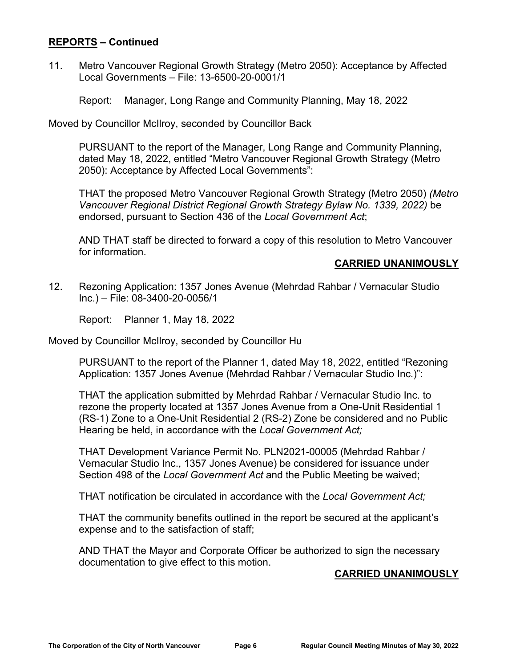## **REPORTS – Continued**

11. Metro Vancouver Regional Growth Strategy (Metro 2050): Acceptance by Affected Local Governments – File: 13-6500-20-0001/1

Report: Manager, Long Range and Community Planning, May 18, 2022

Moved by Councillor McIlroy, seconded by Councillor Back

PURSUANT to the report of the Manager, Long Range and Community Planning, dated May 18, 2022, entitled "Metro Vancouver Regional Growth Strategy (Metro 2050): Acceptance by Affected Local Governments":

THAT the proposed Metro Vancouver Regional Growth Strategy (Metro 2050) *(Metro Vancouver Regional District Regional Growth Strategy Bylaw No. 1339, 2022)* be endorsed, pursuant to Section 436 of the *Local Government Act*;

AND THAT staff be directed to forward a copy of this resolution to Metro Vancouver for information.

## **CARRIED UNANIMOUSLY**

12. Rezoning Application: 1357 Jones Avenue (Mehrdad Rahbar / Vernacular Studio Inc.) – File: 08-3400-20-0056/1

Report: Planner 1, May 18, 2022

Moved by Councillor McIlroy, seconded by Councillor Hu

PURSUANT to the report of the Planner 1, dated May 18, 2022, entitled "Rezoning Application: 1357 Jones Avenue (Mehrdad Rahbar / Vernacular Studio Inc.)":

THAT the application submitted by Mehrdad Rahbar / Vernacular Studio Inc. to rezone the property located at 1357 Jones Avenue from a One-Unit Residential 1 (RS-1) Zone to a One-Unit Residential 2 (RS-2) Zone be considered and no Public Hearing be held, in accordance with the *Local Government Act;*

THAT Development Variance Permit No. PLN2021-00005 (Mehrdad Rahbar / Vernacular Studio Inc., 1357 Jones Avenue) be considered for issuance under Section 498 of the *Local Government Act* and the Public Meeting be waived;

THAT notification be circulated in accordance with the *Local Government Act;* 

THAT the community benefits outlined in the report be secured at the applicant's expense and to the satisfaction of staff;

AND THAT the Mayor and Corporate Officer be authorized to sign the necessary documentation to give effect to this motion.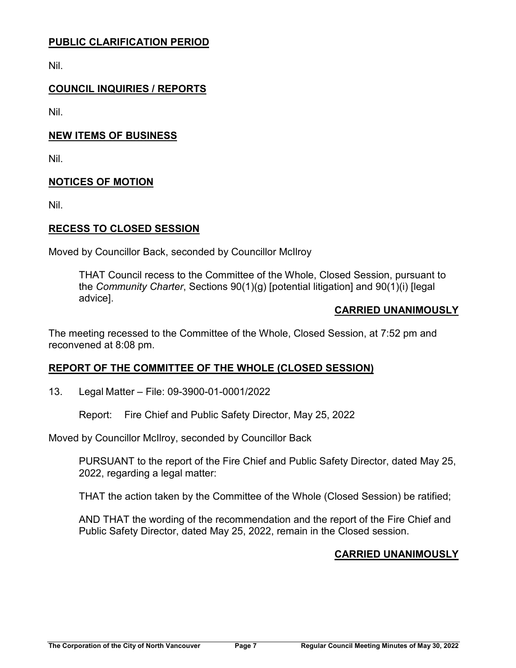# **PUBLIC CLARIFICATION PERIOD**

Nil.

# **COUNCIL INQUIRIES / REPORTS**

Nil.

# **NEW ITEMS OF BUSINESS**

Nil.

# **NOTICES OF MOTION**

Nil.

# **RECESS TO CLOSED SESSION**

Moved by Councillor Back, seconded by Councillor McIlroy

THAT Council recess to the Committee of the Whole, Closed Session, pursuant to the *Community Charter*, Sections 90(1)(g) [potential litigation] and 90(1)(i) [legal advice].

### **CARRIED UNANIMOUSLY**

The meeting recessed to the Committee of the Whole, Closed Session, at 7:52 pm and reconvened at 8:08 pm.

# **REPORT OF THE COMMITTEE OF THE WHOLE (CLOSED SESSION)**

13. Legal Matter – File: 09-3900-01-0001/2022

Report: Fire Chief and Public Safety Director, May 25, 2022

Moved by Councillor McIlroy, seconded by Councillor Back

PURSUANT to the report of the Fire Chief and Public Safety Director, dated May 25, 2022, regarding a legal matter:

THAT the action taken by the Committee of the Whole (Closed Session) be ratified;

AND THAT the wording of the recommendation and the report of the Fire Chief and Public Safety Director, dated May 25, 2022, remain in the Closed session.